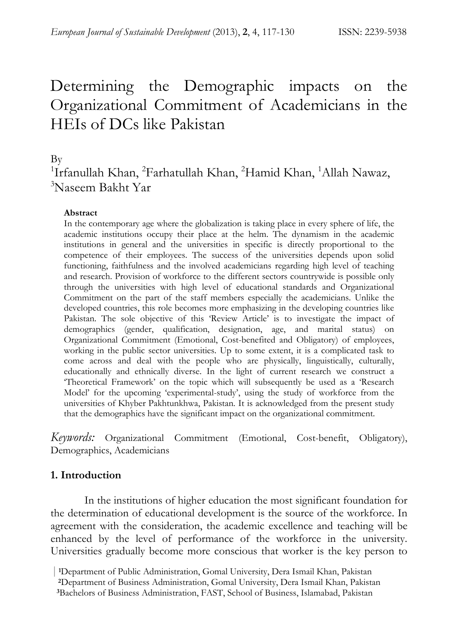# Determining the Demographic impacts on the Organizational Commitment of Academicians in the HEIs of DCs like Pakistan

By

# <sup>1</sup>Irfanullah Khan, <sup>2</sup>Farhatullah Khan, <sup>2</sup>Hamid Khan, <sup>1</sup>Allah Nawaz, 3 Naseem Bakht Yar

#### **Abstract**

In the contemporary age where the globalization is taking place in every sphere of life, the academic institutions occupy their place at the helm. The dynamism in the academic institutions in general and the universities in specific is directly proportional to the competence of their employees. The success of the universities depends upon solid functioning, faithfulness and the involved academicians regarding high level of teaching and research. Provision of workforce to the different sectors countrywide is possible only through the universities with high level of educational standards and Organizational Commitment on the part of the staff members especially the academicians. Unlike the developed countries, this role becomes more emphasizing in the developing countries like Pakistan. The sole objective of this 'Review Article' is to investigate the impact of demographics (gender, qualification, designation, age, and marital status) on Organizational Commitment (Emotional, Cost-benefited and Obligatory) of employees, working in the public sector universities. Up to some extent, it is a complicated task to come across and deal with the people who are physically, linguistically, culturally, educationally and ethnically diverse. In the light of current research we construct a 'Theoretical Framework' on the topic which will subsequently be used as a 'Research Model' for the upcoming 'experimental-study', using the study of workforce from the universities of Khyber Pakhtunkhwa, Pakistan. It is acknowledged from the present study that the demographics have the significant impact on the organizational commitment.

*Keywords:* Organizational Commitment (Emotional, Cost-benefit, Obligatory), Demographics, Academicians

# **1. Introduction**

In the institutions of higher education the most significant foundation for the determination of educational development is the source of the workforce. In agreement with the consideration, the academic excellence and teaching will be enhanced by the level of performance of the workforce in the university. Universities gradually become more conscious that worker is the key person to

 <sup>|</sup> **1**Department of Public Administration, Gomal University, Dera Ismail Khan, Pakistan

**<sup>2</sup>**Department of Business Administration, Gomal University, Dera Ismail Khan, Pakistan **<sup>3</sup>**Bachelors of Business Administration, FAST, School of Business, Islamabad, Pakistan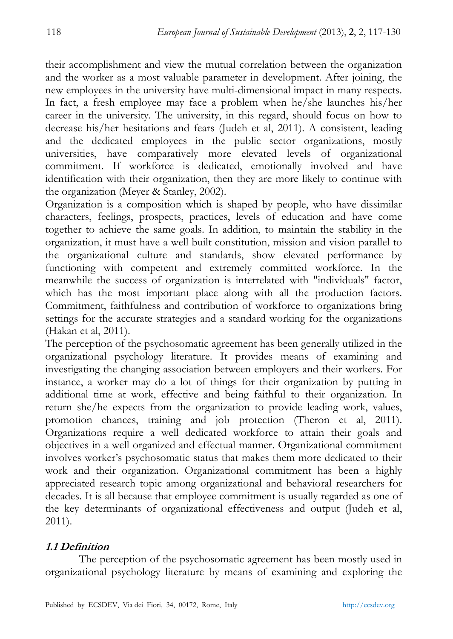their accomplishment and view the mutual correlation between the organization and the worker as a most valuable parameter in development. After joining, the new employees in the university have multi-dimensional impact in many respects. In fact, a fresh employee may face a problem when he/she launches his/her career in the university. The university, in this regard, should focus on how to decrease his/her hesitations and fears (Judeh et al, 2011). A consistent, leading and the dedicated employees in the public sector organizations, mostly universities, have comparatively more elevated levels of organizational commitment. If workforce is dedicated, emotionally involved and have identification with their organization, then they are more likely to continue with the organization (Meyer & Stanley, 2002).

Organization is a composition which is shaped by people, who have dissimilar characters, feelings, prospects, practices, levels of education and have come together to achieve the same goals. In addition, to maintain the stability in the organization, it must have a well built constitution, mission and vision parallel to the organizational culture and standards, show elevated performance by functioning with competent and extremely committed workforce. In the meanwhile the success of organization is interrelated with "individuals" factor, which has the most important place along with all the production factors. Commitment, faithfulness and contribution of workforce to organizations bring settings for the accurate strategies and a standard working for the organizations (Hakan et al, 2011).

The perception of the psychosomatic agreement has been generally utilized in the organizational psychology literature. It provides means of examining and investigating the changing association between employers and their workers. For instance, a worker may do a lot of things for their organization by putting in additional time at work, effective and being faithful to their organization. In return she/he expects from the organization to provide leading work, values, promotion chances, training and job protection (Theron et al, 2011). Organizations require a well dedicated workforce to attain their goals and objectives in a well organized and effectual manner. Organizational commitment involves worker's psychosomatic status that makes them more dedicated to their work and their organization. Organizational commitment has been a highly appreciated research topic among organizational and behavioral researchers for decades. It is all because that employee commitment is usually regarded as one of the key determinants of organizational effectiveness and output (Judeh et al, 2011).

# **1.1 Definition**

The perception of the psychosomatic agreement has been mostly used in organizational psychology literature by means of examining and exploring the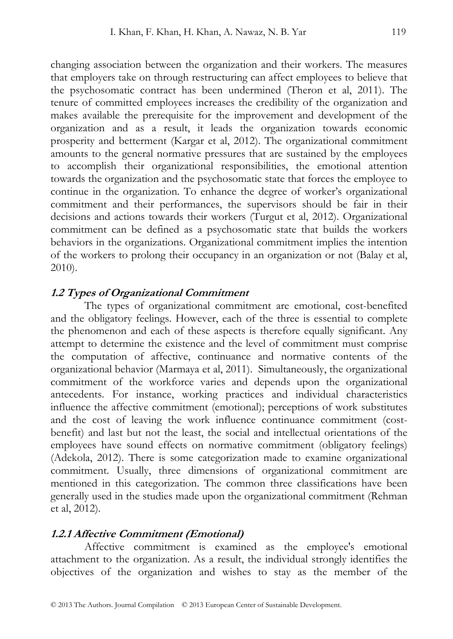changing association between the organization and their workers. The measures that employers take on through restructuring can affect employees to believe that the psychosomatic contract has been undermined (Theron et al, 2011). The tenure of committed employees increases the credibility of the organization and makes available the prerequisite for the improvement and development of the organization and as a result, it leads the organization towards economic prosperity and betterment (Kargar et al, 2012). The organizational commitment amounts to the general normative pressures that are sustained by the employees to accomplish their organizational responsibilities, the emotional attention towards the organization and the psychosomatic state that forces the employee to continue in the organization. To enhance the degree of worker's organizational commitment and their performances, the supervisors should be fair in their decisions and actions towards their workers (Turgut et al, 2012). Organizational commitment can be defined as a psychosomatic state that builds the workers behaviors in the organizations. Organizational commitment implies the intention of the workers to prolong their occupancy in an organization or not (Balay et al, 2010).

#### **1.2 Types of Organizational Commitment**

The types of organizational commitment are emotional, cost-benefited and the obligatory feelings. However, each of the three is essential to complete the phenomenon and each of these aspects is therefore equally significant. Any attempt to determine the existence and the level of commitment must comprise the computation of affective, continuance and normative contents of the organizational behavior (Marmaya et al, 2011). Simultaneously, the organizational commitment of the workforce varies and depends upon the organizational antecedents. For instance, working practices and individual characteristics influence the affective commitment (emotional); perceptions of work substitutes and the cost of leaving the work influence continuance commitment (costbenefit) and last but not the least, the social and intellectual orientations of the employees have sound effects on normative commitment (obligatory feelings) (Adekola, 2012). There is some categorization made to examine organizational commitment. Usually, three dimensions of organizational commitment are mentioned in this categorization. The common three classifications have been generally used in the studies made upon the organizational commitment (Rehman et al, 2012).

#### **1.2.1 Affective Commitment (Emotional)**

Affective commitment is examined as the employee's emotional attachment to the organization. As a result, the individual strongly identifies the objectives of the organization and wishes to stay as the member of the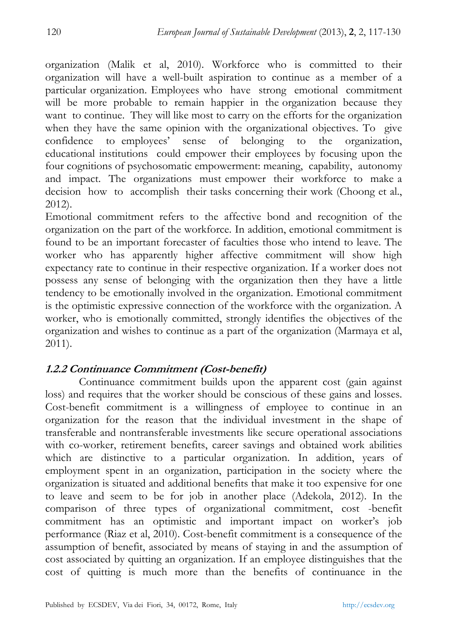organization (Malik et al, 2010). Workforce who is committed to their organization will have a well-built aspiration to continue as a member of a particular organization. Employees who have strong emotional commitment will be more probable to remain happier in the organization because they want to continue. They will like most to carry on the efforts for the organization when they have the same opinion with the organizational objectives. To give confidence to employees' sense of belonging to the organization, educational institutions could empower their employees by focusing upon the four cognitions of psychosomatic empowerment: meaning, capability, autonomy and impact. The organizations must empower their workforce to make a decision how to accomplish their tasks concerning their work (Choong et al., 2012).

Emotional commitment refers to the affective bond and recognition of the organization on the part of the workforce. In addition, emotional commitment is found to be an important forecaster of faculties those who intend to leave. The worker who has apparently higher affective commitment will show high expectancy rate to continue in their respective organization. If a worker does not possess any sense of belonging with the organization then they have a little tendency to be emotionally involved in the organization. Emotional commitment is the optimistic expressive connection of the workforce with the organization. A worker, who is emotionally committed, strongly identifies the objectives of the organization and wishes to continue as a part of the organization (Marmaya et al, 2011).

# **1.2.2 Continuance Commitment (Cost-benefit)**

Continuance commitment builds upon the apparent cost (gain against loss) and requires that the worker should be conscious of these gains and losses. Cost-benefit commitment is a willingness of employee to continue in an organization for the reason that the individual investment in the shape of transferable and nontransferable investments like secure operational associations with co-worker, retirement benefits, career savings and obtained work abilities which are distinctive to a particular organization. In addition, years of employment spent in an organization, participation in the society where the organization is situated and additional benefits that make it too expensive for one to leave and seem to be for job in another place (Adekola, 2012). In the comparison of three types of organizational commitment, cost -benefit commitment has an optimistic and important impact on worker's job performance (Riaz et al, 2010). Cost-benefit commitment is a consequence of the assumption of benefit, associated by means of staying in and the assumption of cost associated by quitting an organization. If an employee distinguishes that the cost of quitting is much more than the benefits of continuance in the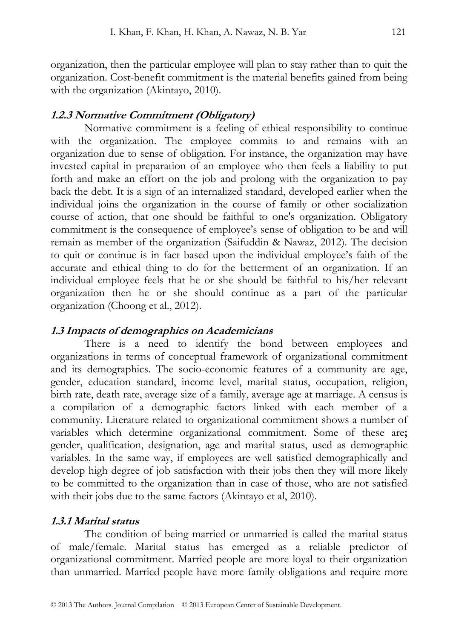organization, then the particular employee will plan to stay rather than to quit the organization. Cost-benefit commitment is the material benefits gained from being with the organization (Akintayo, 2010).

#### **1.2.3 Normative Commitment (Obligatory)**

Normative commitment is a feeling of ethical responsibility to continue with the organization. The employee commits to and remains with an organization due to sense of obligation. For instance, the organization may have invested capital in preparation of an employee who then feels a liability to put forth and make an effort on the job and prolong with the organization to pay back the debt. It is a sign of an internalized standard, developed earlier when the individual joins the organization in the course of family or other socialization course of action, that one should be faithful to one's organization. Obligatory commitment is the consequence of employee's sense of obligation to be and will remain as member of the organization (Saifuddin & Nawaz, 2012). The decision to quit or continue is in fact based upon the individual employee's faith of the accurate and ethical thing to do for the betterment of an organization. If an individual employee feels that he or she should be faithful to his/her relevant organization then he or she should continue as a part of the particular organization (Choong et al., 2012).

#### **1.3 Impacts of demographics on Academicians**

There is a need to identify the bond between employees and organizations in terms of conceptual framework of organizational commitment and its demographics. The socio-economic features of a community are age, gender, education standard, income level, marital status, occupation, religion, birth rate, death rate, average size of a family, average age at marriage. A census is a compilation of a demographic factors linked with each member of a community. Literature related to organizational commitment shows a number of variables which determine organizational commitment. Some of these are**;**  gender, qualification, designation, age and marital status, used as demographic variables. In the same way, if employees are well satisfied demographically and develop high degree of job satisfaction with their jobs then they will more likely to be committed to the organization than in case of those, who are not satisfied with their jobs due to the same factors (Akintayo et al, 2010).

#### **1.3.1 Marital status**

The condition of being married or unmarried is called the marital status of male/female. Marital status has emerged as a reliable predictor of organizational commitment. Married people are more loyal to their organization than unmarried. Married people have more family obligations and require more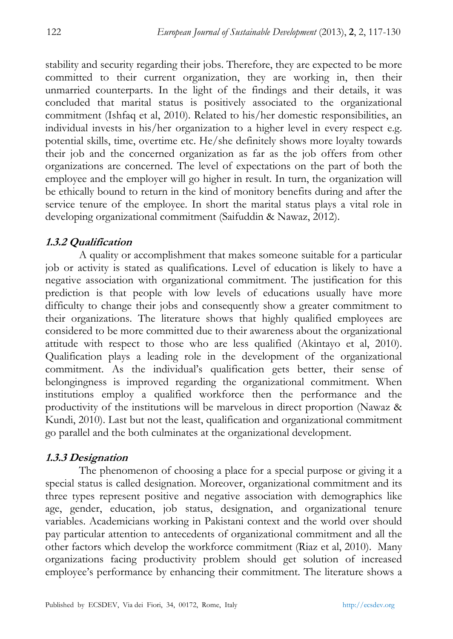stability and security regarding their jobs. Therefore, they are expected to be more committed to their current organization, they are working in, then their unmarried counterparts. In the light of the findings and their details, it was concluded that marital status is positively associated to the organizational commitment (Ishfaq et al, 2010). Related to his/her domestic responsibilities, an individual invests in his/her organization to a higher level in every respect e.g. potential skills, time, overtime etc. He/she definitely shows more loyalty towards their job and the concerned organization as far as the job offers from other organizations are concerned. The level of expectations on the part of both the employee and the employer will go higher in result. In turn, the organization will be ethically bound to return in the kind of monitory benefits during and after the service tenure of the employee. In short the marital status plays a vital role in developing organizational commitment (Saifuddin & Nawaz, 2012).

#### **1.3.2 Qualification**

A quality or accomplishment that makes someone suitable for a particular job or activity is stated as qualifications. Level of education is likely to have a negative association with organizational commitment. The justification for this prediction is that people with low levels of educations usually have more difficulty to change their jobs and consequently show a greater commitment to their organizations. The literature shows that highly qualified employees are considered to be more committed due to their awareness about the organizational attitude with respect to those who are less qualified (Akintayo et al, 2010). Qualification plays a leading role in the development of the organizational commitment. As the individual's qualification gets better, their sense of belongingness is improved regarding the organizational commitment. When institutions employ a qualified workforce then the performance and the productivity of the institutions will be marvelous in direct proportion (Nawaz & Kundi, 2010). Last but not the least, qualification and organizational commitment go parallel and the both culminates at the organizational development.

#### **1.3.3 Designation**

The phenomenon of choosing a place for a special purpose or giving it a special status is called designation. Moreover, organizational commitment and its three types represent positive and negative association with demographics like age, gender, education, job status, designation, and organizational tenure variables. Academicians working in Pakistani context and the world over should pay particular attention to antecedents of organizational commitment and all the other factors which develop the workforce commitment (Riaz et al, 2010). Many organizations facing productivity problem should get solution of increased employee's performance by enhancing their commitment. The literature shows a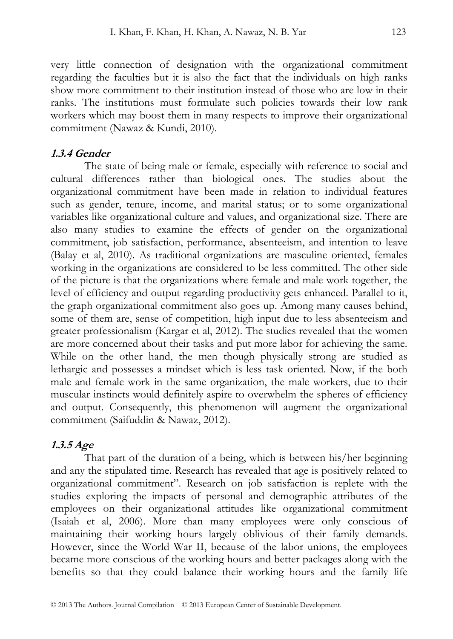very little connection of designation with the organizational commitment regarding the faculties but it is also the fact that the individuals on high ranks show more commitment to their institution instead of those who are low in their ranks. The institutions must formulate such policies towards their low rank workers which may boost them in many respects to improve their organizational commitment (Nawaz & Kundi, 2010).

#### **1.3.4 Gender**

The state of being male or female, especially with reference to social and cultural differences rather than biological ones. The studies about the organizational commitment have been made in relation to individual features such as gender, tenure, income, and marital status; or to some organizational variables like organizational culture and values, and organizational size. There are also many studies to examine the effects of gender on the organizational commitment, job satisfaction, performance, absenteeism, and intention to leave (Balay et al, 2010). As traditional organizations are masculine oriented, females working in the organizations are considered to be less committed. The other side of the picture is that the organizations where female and male work together, the level of efficiency and output regarding productivity gets enhanced. Parallel to it, the graph organizational commitment also goes up. Among many causes behind, some of them are, sense of competition, high input due to less absenteeism and greater professionalism (Kargar et al, 2012). The studies revealed that the women are more concerned about their tasks and put more labor for achieving the same. While on the other hand, the men though physically strong are studied as lethargic and possesses a mindset which is less task oriented. Now, if the both male and female work in the same organization, the male workers, due to their muscular instincts would definitely aspire to overwhelm the spheres of efficiency and output. Consequently, this phenomenon will augment the organizational commitment (Saifuddin & Nawaz, 2012).

#### **1.3.5 Age**

That part of the duration of a being, which is between his/her beginning and any the stipulated time. Research has revealed that age is positively related to organizational commitment". Research on job satisfaction is replete with the studies exploring the impacts of personal and demographic attributes of the employees on their organizational attitudes like organizational commitment (Isaiah et al, 2006). More than many employees were only conscious of maintaining their working hours largely oblivious of their family demands. However, since the World War II, because of the labor unions, the employees became more conscious of the working hours and better packages along with the benefits so that they could balance their working hours and the family life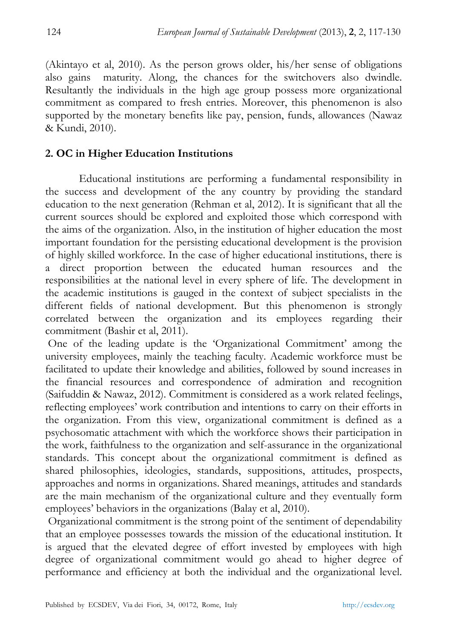(Akintayo et al, 2010). As the person grows older, his/her sense of obligations also gains maturity. Along, the chances for the switchovers also dwindle. Resultantly the individuals in the high age group possess more organizational commitment as compared to fresh entries. Moreover, this phenomenon is also supported by the monetary benefits like pay, pension, funds, allowances (Nawaz & Kundi, 2010).

#### **2. OC in Higher Education Institutions**

Educational institutions are performing a fundamental responsibility in the success and development of the any country by providing the standard education to the next generation (Rehman et al, 2012). It is significant that all the current sources should be explored and exploited those which correspond with the aims of the organization. Also, in the institution of higher education the most important foundation for the persisting educational development is the provision of highly skilled workforce. In the case of higher educational institutions, there is a direct proportion between the educated human resources and the responsibilities at the national level in every sphere of life. The development in the academic institutions is gauged in the context of subject specialists in the different fields of national development. But this phenomenon is strongly correlated between the organization and its employees regarding their commitment (Bashir et al, 2011).

 One of the leading update is the 'Organizational Commitment' among the university employees, mainly the teaching faculty. Academic workforce must be facilitated to update their knowledge and abilities, followed by sound increases in the financial resources and correspondence of admiration and recognition (Saifuddin & Nawaz, 2012). Commitment is considered as a work related feelings, reflecting employees' work contribution and intentions to carry on their efforts in the organization. From this view, organizational commitment is defined as a psychosomatic attachment with which the workforce shows their participation in the work, faithfulness to the organization and self-assurance in the organizational standards. This concept about the organizational commitment is defined as shared philosophies, ideologies, standards, suppositions, attitudes, prospects, approaches and norms in organizations. Shared meanings, attitudes and standards are the main mechanism of the organizational culture and they eventually form employees' behaviors in the organizations (Balay et al, 2010).

 Organizational commitment is the strong point of the sentiment of dependability that an employee possesses towards the mission of the educational institution. It is argued that the elevated degree of effort invested by employees with high degree of organizational commitment would go ahead to higher degree of performance and efficiency at both the individual and the organizational level.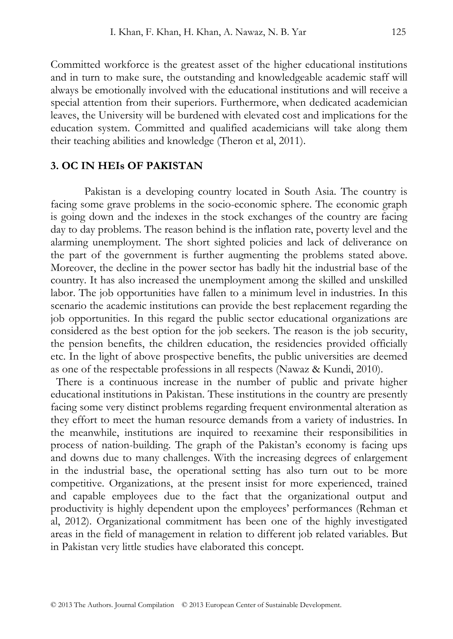Committed workforce is the greatest asset of the higher educational institutions and in turn to make sure, the outstanding and knowledgeable academic staff will always be emotionally involved with the educational institutions and will receive a special attention from their superiors. Furthermore, when dedicated academician leaves, the University will be burdened with elevated cost and implications for the education system. Committed and qualified academicians will take along them their teaching abilities and knowledge (Theron et al, 2011).

#### **3. OC IN HEIs OF PAKISTAN**

Pakistan is a developing country located in South Asia. The country is facing some grave problems in the socio-economic sphere. The economic graph is going down and the indexes in the stock exchanges of the country are facing day to day problems. The reason behind is the inflation rate, poverty level and the alarming unemployment. The short sighted policies and lack of deliverance on the part of the government is further augmenting the problems stated above. Moreover, the decline in the power sector has badly hit the industrial base of the country. It has also increased the unemployment among the skilled and unskilled labor. The job opportunities have fallen to a minimum level in industries. In this scenario the academic institutions can provide the best replacement regarding the job opportunities. In this regard the public sector educational organizations are considered as the best option for the job seekers. The reason is the job security, the pension benefits, the children education, the residencies provided officially etc. In the light of above prospective benefits, the public universities are deemed as one of the respectable professions in all respects (Nawaz & Kundi, 2010).

 There is a continuous increase in the number of public and private higher educational institutions in Pakistan. These institutions in the country are presently facing some very distinct problems regarding frequent environmental alteration as they effort to meet the human resource demands from a variety of industries. In the meanwhile, institutions are inquired to reexamine their responsibilities in process of nation-building. The graph of the Pakistan's economy is facing ups and downs due to many challenges. With the increasing degrees of enlargement in the industrial base, the operational setting has also turn out to be more competitive. Organizations, at the present insist for more experienced, trained and capable employees due to the fact that the organizational output and productivity is highly dependent upon the employees' performances (Rehman et al, 2012). Organizational commitment has been one of the highly investigated areas in the field of management in relation to different job related variables. But in Pakistan very little studies have elaborated this concept.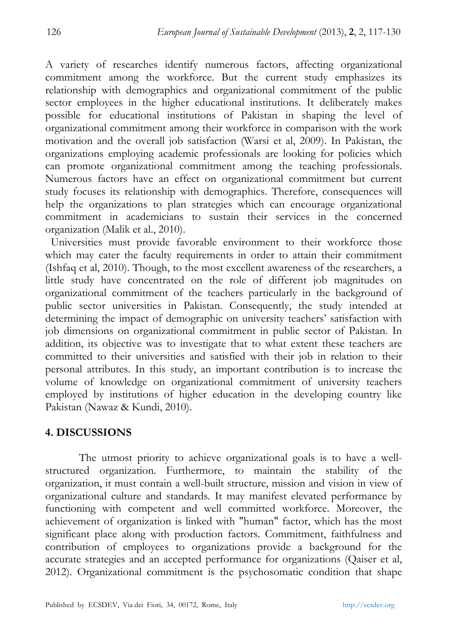A variety of researches identify numerous factors, affecting organizational commitment among the workforce. But the current study emphasizes its relationship with demographics and organizational commitment of the public sector employees in the higher educational institutions. It deliberately makes possible for educational institutions of Pakistan in shaping the level of organizational commitment among their workforce in comparison with the work motivation and the overall job satisfaction (Warsi et al, 2009). In Pakistan, the organizations employing academic professionals are looking for policies which can promote organizational commitment among the teaching professionals. Numerous factors have an effect on organizational commitment but current study focuses its relationship with demographics. Therefore, consequences will help the organizations to plan strategies which can encourage organizational commitment in academicians to sustain their services in the concerned organization (Malik et al., 2010).

 Universities must provide favorable environment to their workforce those which may cater the faculty requirements in order to attain their commitment (Ishfaq et al, 2010). Though, to the most excellent awareness of the researchers, a little study have concentrated on the role of different job magnitudes on organizational commitment of the teachers particularly in the background of public sector universities in Pakistan. Consequently, the study intended at determining the impact of demographic on university teachers' satisfaction with job dimensions on organizational commitment in public sector of Pakistan. In addition, its objective was to investigate that to what extent these teachers are committed to their universities and satisfied with their job in relation to their personal attributes. In this study, an important contribution is to increase the volume of knowledge on organizational commitment of university teachers employed by institutions of higher education in the developing country like Pakistan (Nawaz & Kundi, 2010).

# **4. DISCUSSIONS**

The utmost priority to achieve organizational goals is to have a wellstructured organization. Furthermore, to maintain the stability of the organization, it must contain a well-built structure, mission and vision in view of organizational culture and standards. It may manifest elevated performance by functioning with competent and well committed workforce. Moreover, the achievement of organization is linked with "human" factor, which has the most significant place along with production factors. Commitment, faithfulness and contribution of employees to organizations provide a background for the accurate strategies and an accepted performance for organizations (Qaiser et al, 2012). Organizational commitment is the psychosomatic condition that shape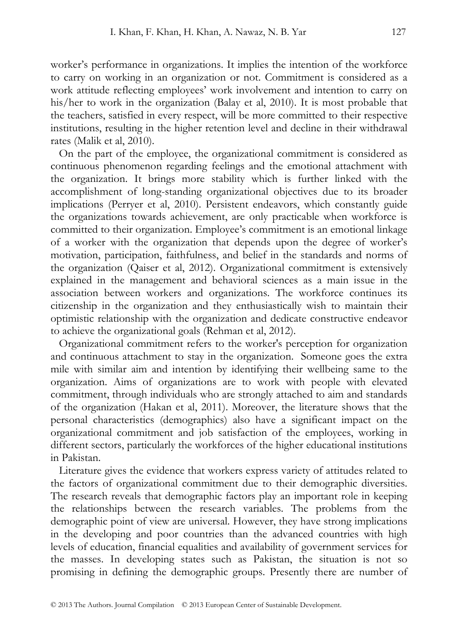worker's performance in organizations. It implies the intention of the workforce to carry on working in an organization or not. Commitment is considered as a work attitude reflecting employees' work involvement and intention to carry on his/her to work in the organization (Balay et al, 2010). It is most probable that the teachers, satisfied in every respect, will be more committed to their respective institutions, resulting in the higher retention level and decline in their withdrawal rates (Malik et al, 2010).

 On the part of the employee, the organizational commitment is considered as continuous phenomenon regarding feelings and the emotional attachment with the organization. It brings more stability which is further linked with the accomplishment of long-standing organizational objectives due to its broader implications (Perryer et al, 2010). Persistent endeavors, which constantly guide the organizations towards achievement, are only practicable when workforce is committed to their organization. Employee's commitment is an emotional linkage of a worker with the organization that depends upon the degree of worker's motivation, participation, faithfulness, and belief in the standards and norms of the organization (Qaiser et al, 2012). Organizational commitment is extensively explained in the management and behavioral sciences as a main issue in the association between workers and organizations. The workforce continues its citizenship in the organization and they enthusiastically wish to maintain their optimistic relationship with the organization and dedicate constructive endeavor to achieve the organizational goals (Rehman et al, 2012).

 Organizational commitment refers to the worker's perception for organization and continuous attachment to stay in the organization. Someone goes the extra mile with similar aim and intention by identifying their wellbeing same to the organization. Aims of organizations are to work with people with elevated commitment, through individuals who are strongly attached to aim and standards of the organization (Hakan et al, 2011). Moreover, the literature shows that the personal characteristics (demographics) also have a significant impact on the organizational commitment and job satisfaction of the employees, working in different sectors, particularly the workforces of the higher educational institutions in Pakistan.

 Literature gives the evidence that workers express variety of attitudes related to the factors of organizational commitment due to their demographic diversities. The research reveals that demographic factors play an important role in keeping the relationships between the research variables. The problems from the demographic point of view are universal. However, they have strong implications in the developing and poor countries than the advanced countries with high levels of education, financial equalities and availability of government services for the masses. In developing states such as Pakistan, the situation is not so promising in defining the demographic groups. Presently there are number of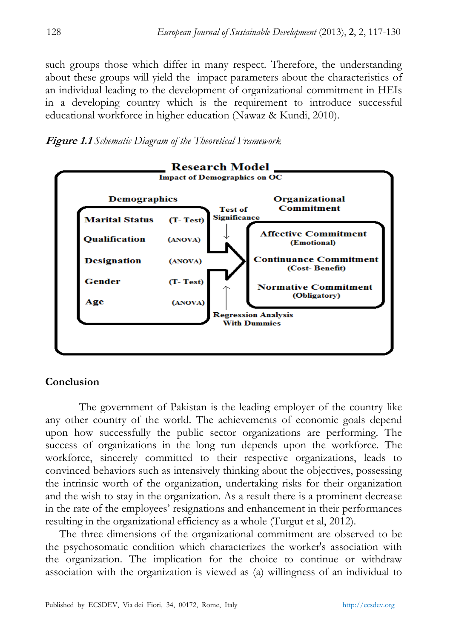such groups those which differ in many respect. Therefore, the understanding about these groups will yield the impact parameters about the characteristics of an individual leading to the development of organizational commitment in HEIs in a developing country which is the requirement to introduce successful educational workforce in higher education (Nawaz & Kundi, 2010).





# **Conclusion**

The government of Pakistan is the leading employer of the country like any other country of the world. The achievements of economic goals depend upon how successfully the public sector organizations are performing. The success of organizations in the long run depends upon the workforce. The workforce, sincerely committed to their respective organizations, leads to convinced behaviors such as intensively thinking about the objectives, possessing the intrinsic worth of the organization, undertaking risks for their organization and the wish to stay in the organization. As a result there is a prominent decrease in the rate of the employees' resignations and enhancement in their performances resulting in the organizational efficiency as a whole (Turgut et al, 2012).

 The three dimensions of the organizational commitment are observed to be the psychosomatic condition which characterizes the worker's association with the organization. The implication for the choice to continue or withdraw association with the organization is viewed as (a) willingness of an individual to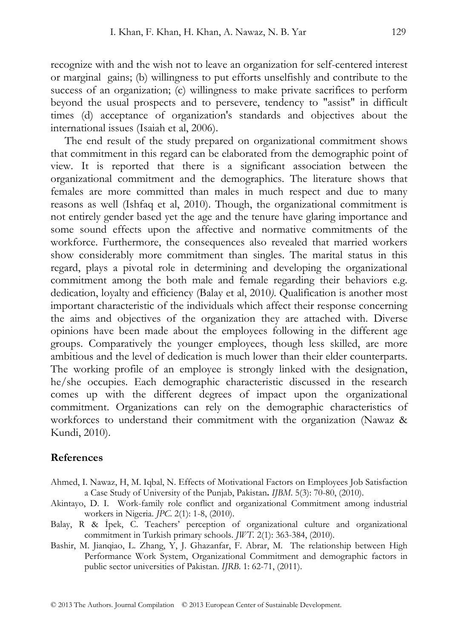recognize with and the wish not to leave an organization for self-centered interest or marginal gains; (b) willingness to put efforts unselfishly and contribute to the success of an organization; (c) willingness to make private sacrifices to perform beyond the usual prospects and to persevere, tendency to "assist" in difficult times (d) acceptance of organization's standards and objectives about the international issues (Isaiah et al, 2006).

 The end result of the study prepared on organizational commitment shows that commitment in this regard can be elaborated from the demographic point of view. It is reported that there is a significant association between the organizational commitment and the demographics. The literature shows that females are more committed than males in much respect and due to many reasons as well (Ishfaq et al, 2010). Though, the organizational commitment is not entirely gender based yet the age and the tenure have glaring importance and some sound effects upon the affective and normative commitments of the workforce. Furthermore, the consequences also revealed that married workers show considerably more commitment than singles. The marital status in this regard, plays a pivotal role in determining and developing the organizational commitment among the both male and female regarding their behaviors e.g. dedication, loyalty and efficiency (Balay et al, 2010*)*. Qualification is another most important characteristic of the individuals which affect their response concerning the aims and objectives of the organization they are attached with. Diverse opinions have been made about the employees following in the different age groups. Comparatively the younger employees, though less skilled, are more ambitious and the level of dedication is much lower than their elder counterparts. The working profile of an employee is strongly linked with the designation, he/she occupies. Each demographic characteristic discussed in the research comes up with the different degrees of impact upon the organizational commitment. Organizations can rely on the demographic characteristics of workforces to understand their commitment with the organization (Nawaz & Kundi, 2010).

#### **References**

- Ahmed, I. Nawaz, H, M. Iqbal, N. Effects of Motivational Factors on Employees Job Satisfaction a Case Study of University of the Punjab, Pakistan**.** *IJBM*. 5(3): 70-80, (2010).
- Akintayo, D. I. Work-family role conflict and organizational Commitment among industrial workers in Nigeria. *JPC*. 2(1): 1-8, (2010).
- Balay, R & İpek, C. Teachers' perception of organizational culture and organizational commitment in Turkish primary schools. *JWT.* 2(1): 363-384, (2010).
- Bashir, M. Jianqiao, L. Zhang, Y, J. Ghazanfar, F. Abrar, M. The relationship between High Performance Work System, Organizational Commitment and demographic factors in public sector universities of Pakistan. *IJRB*. 1: 62-71, (2011).